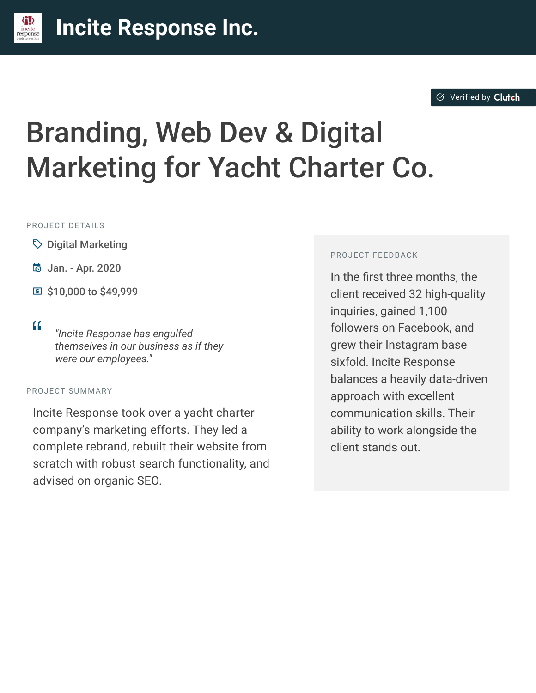#### $\otimes$  [Verified by](https://clutch.co?utm_source=case_studies&utm_medium=verified_by_clutch) Clutch

# Branding, Web Dev & Digital Marketing for Yacht Charter Co.

#### PROJECT DETAILS

- $\heartsuit$  Digital Marketing
- B Jan. Apr. 2020
- C \$10,000 to \$49,999
- 

<sup>D</sup> *"Incite Response has engulfed themselves in our business as if they were our employees."*

#### PROJECT SUMMARY

Incite Response took over a yacht charter company's marketing efforts. They led a complete rebrand, rebuilt their website from scratch with robust search functionality, and advised on organic SEO.

#### PROJECT FEEDBACK

In the first three months, the client received 32 high-quality inquiries, gained 1,100 followers on Facebook, and grew their Instagram base sixfold. Incite Response balances a heavily data-driven approach with excellent communication skills. Their ability to work alongside the client stands out.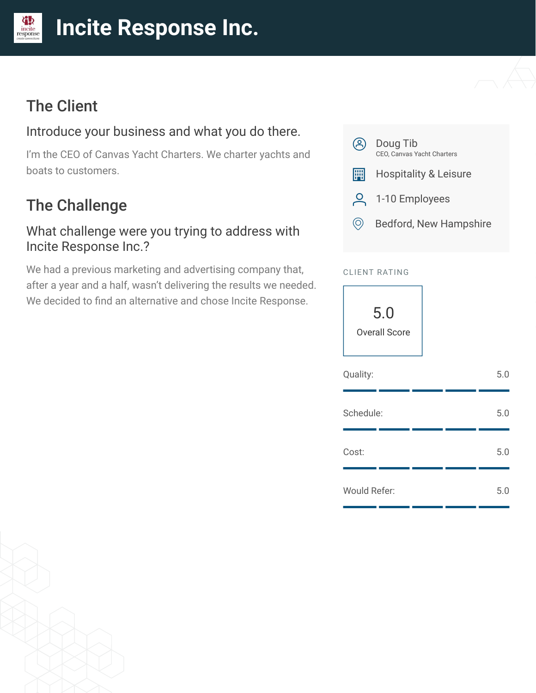#### **[I](https://clutch.co/profile/incite-response-0?utm_source=case_studies&utm_medium=logo)ncite Response Inc.** incite

# The Client

凉

### Introduce your business and what you do there.

I'm the CEO of Canvas Yacht Charters. We charter yachts and boats to customers.

# The Challenge

#### What challenge were you trying to address with Incite Response Inc.?

We had a previous marketing and advertising company that, after a year and a half, wasn't delivering the results we needed. We decided to find an alternative and chose Incite Response.



#### CLIENT RATING

5.0 Overall Score

| Quality:     |  | 5.0 |
|--------------|--|-----|
| Schedule:    |  | 5.0 |
| Cost:        |  | 5.0 |
| Would Refer: |  | 5.0 |

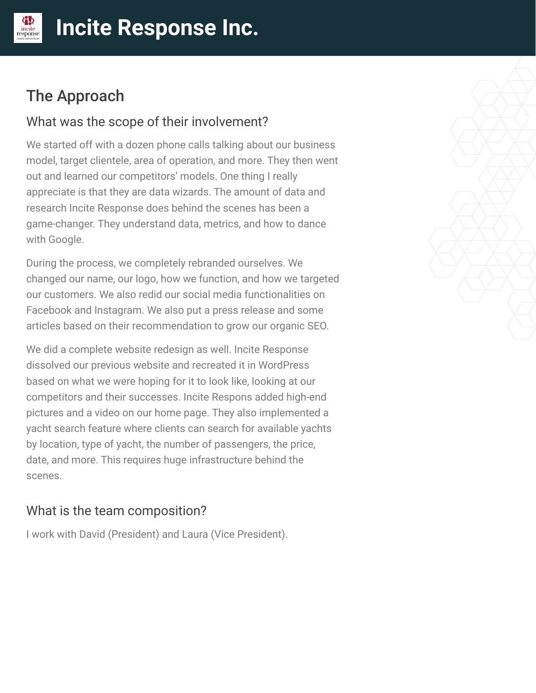# The Approach

incite<br>response

#### What was the scope of their involvement?

We started off with a dozen phone calls talking about our business model, target clientele, area of operation, and more. They then went out and learned our competitors' models. One thing I really appreciate is that they are data wizards. The amount of data and research Incite Response does behind the scenes has been a game-changer. They understand data, metrics, and how to dance with Google.

During the process, we completely rebranded ourselves. We changed our name, our logo, how we function, and how we targeted our customers. We also redid our social media functionalities on Facebook and Instagram. We also put a press release and some articles based on their recommendation to grow our organic SEO.

We did a complete website redesign as well. Incite Response dissolved our previous website and recreated it in WordPress based on what we were hoping for it to look like, looking at our competitors and their successes. Incite Respons added high-end pictures and a video on our home page. They also implemented a yacht search feature where clients can search for available yachts by location, type of yacht, the number of passengers, the price, date, and more. This requires huge infrastructure behind the scenes.

#### What is the team composition?

I work with David (President) and Laura (Vice President).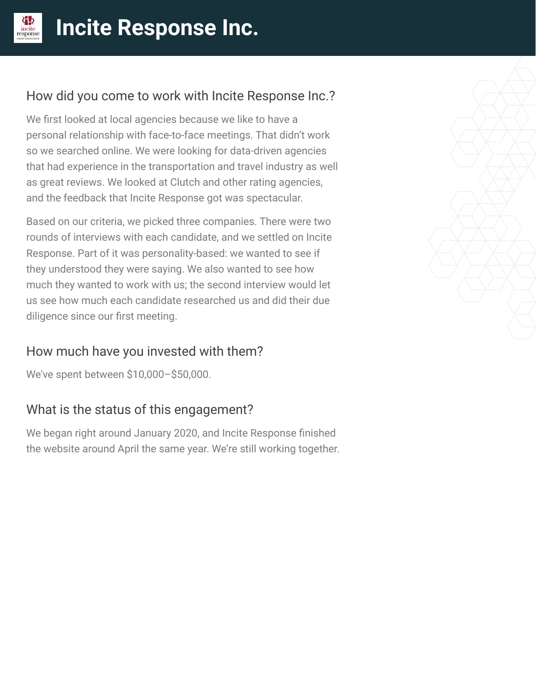

## How did you come to work with Incite Response Inc.?

We first looked at local agencies because we like to have a personal relationship with face-to-face meetings. That didn't work so we searched online. We were looking for data-driven agencies that had experience in the transportation and travel industry as well as great reviews. We looked at Clutch and other rating agencies, and the feedback that Incite Response got was spectacular.

Based on our criteria, we picked three companies. There were two rounds of interviews with each candidate, and we settled on Incite Response. Part of it was personality-based: we wanted to see if they understood they were saying. We also wanted to see how much they wanted to work with us; the second interview would let us see how much each candidate researched us and did their due diligence since our first meeting.

## How much have you invested with them?

We've spent between \$10,000–\$50,000.

## What is the status of this engagement?

We began right around January 2020, and Incite Response finished the website around April the same year. We're still working together.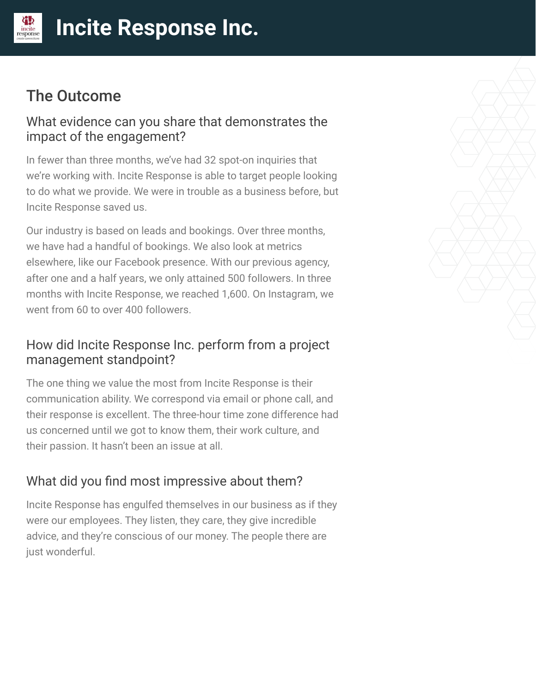# The Outcome

#### What evidence can you share that demonstrates the impact of the engagement?

In fewer than three months, we've had 32 spot-on inquiries that we're working with. Incite Response is able to target people looking to do what we provide. We were in trouble as a business before, but Incite Response saved us.

Our industry is based on leads and bookings. Over three months, we have had a handful of bookings. We also look at metrics elsewhere, like our Facebook presence. With our previous agency, after one and a half years, we only attained 500 followers. In three months with Incite Response, we reached 1,600. On Instagram, we went from 60 to over 400 followers.

### How did Incite Response Inc. perform from a project management standpoint?

The one thing we value the most from Incite Response is their communication ability. We correspond via email or phone call, and their response is excellent. The three-hour time zone difference had us concerned until we got to know them, their work culture, and their passion. It hasn't been an issue at all.

## What did you find most impressive about them?

Incite Response has engulfed themselves in our business as if they were our employees. They listen, they care, they give incredible advice, and they're conscious of our money. The people there are just wonderful.